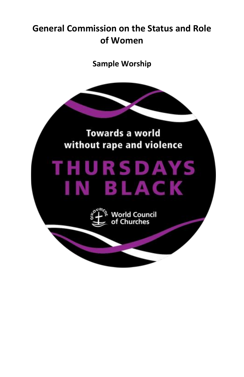## **General Commission on the Status and Role of Women**

**Sample Worship**

# **Towards a world** without rape and violence

# **THURSDAYS** IN BLACK



**World Council Churches**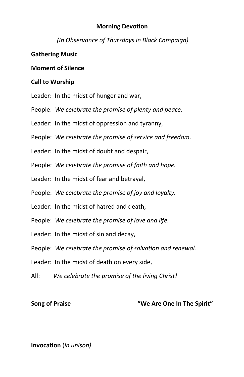### **Morning Devotion**

*(In Observance of Thursdays in Black Campaign)*

### **Gathering Music**

### **Moment of Silence**

### **Call to Worship**

- Leader: In the midst of hunger and war,
- People: *We celebrate the promise of plenty and peace.*
- Leader: In the midst of oppression and tyranny,
- People: *We celebrate the promise of service and freedom.*
- Leader: In the midst of doubt and despair,
- People: *We celebrate the promise of faith and hope.*
- Leader: In the midst of fear and betrayal,
- People: *We celebrate the promise of joy and loyalty.*
- Leader: In the midst of hatred and death,
- People: *We celebrate the promise of love and life.*
- Leader: In the midst of sin and decay,
- People: *We celebrate the promise of salvation and renewal.*
- Leader: In the midst of death on every side,
- All: *We celebrate the promise of the living Christ!*

### **Song of Praise "We Are One In The Spirit"**

### **Invocation** (*in unison)*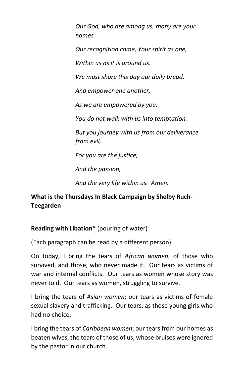*Our God, who are among us, many are your names.* 

*Our recognition come, Your spirit as one,*

*Within us as it is around us.*

*We must share this day our daily bread.*

*And empower one another,*

*As we are empowered by you.*

*You do not walk with us into temptation.*

*But you journey with us from our deliverance from evil,*

*For you are the justice,*

*And the passion,*

*And the very life within us. Amen.*

### **What is the Thursdays In Black Campaign by Shelby Ruch-Teegarden**

### **Reading with Libation\*** (pouring of water)

(Each paragraph can be read by a different person)

On today, I bring the tears of *African women*, of those who survived, and those, who never made it. Our tears as victims of war and internal conflicts. Our tears as women whose story was never told. Our tears as women, struggling to survive.

I bring the tears of *Asian women*; our tears as victims of female sexual slavery and trafficking. Our tears, as those young girls who had no choice.

I bring the tears of *Caribbean women*; our tears from our homes as beaten wives, the tears of those of us, whose bruises were ignored by the pastor in our church.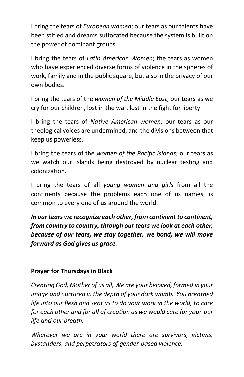I bring the tears of *European women*; our tears as our talents have been stifled and dreams suffocated because the system is built on the power of dominant groups.

I bring the tears of *Latin American Women*; the tears as women who have experienced diverse forms of violence in the spheres of work, family and in the public square, but also in the privacy of our own bodies.

I bring the tears of the *women of the Middle East*; our tears as we cry for our children, lost in the war, lost in the fight for liberty.

I bring the tears of *Native American women*; our tears as our theological voices are undermined, and the divisions between that keep us powerless.

I bring the tears of the *women of the Pacific Islands*; our tears as we watch our Islands being destroyed by nuclear testing and colonization.

I bring the tears of all *young women and girls* from all the continents because the problems each one of us names, is common to every one of us around the world.

*In our tears we recognize each other, from continent to continent, from country to country, through our tears we look at each other, because of our tears, we stay together, we bond, we will move forward as God gives us grace.*

### **Prayer for Thursdays in Black**

*Creating God, Mother of us all, We are your beloved, formed in your image and nurtured in the depth of your dark womb. You breathed life into our flesh and sent us to do your work in the world, to care for each other and for all of creation as we would care for you: our life and our breath.* 

*Wherever we are in your world there are survivors, victims, bystanders, and perpetrators of gender-based violence.*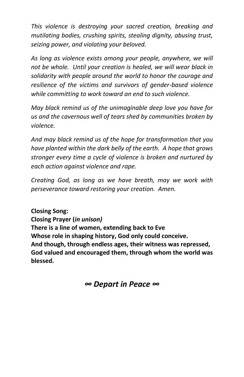*This violence is destroying your sacred creation, breaking and mutilating bodies, crushing spirits, stealing dignity, abusing trust, seizing power, and violating your beloved.*

*As long as violence exists among your people, anywhere, we will not be whole. Until your creation is healed, we will wear black in solidarity with people around the world to honor the courage and resilience of the victims and survivors of gender-based violence while committing to work toward an end to such violence.*

*May black remind us of the unimaginable deep love you have for us and the cavernous well of tears shed by communities broken by violence.*

*And may black remind us of the hope for transformation that you have planted within the dark belly of the earth. A hope that grows stronger every time a cycle of violence is broken and nurtured by each action against violence and rape.* 

*Creating God, as long as we have breath, may we work with perseverance toward restoring your creation. Amen.* 

**Closing Song: Closing Prayer (***in unison)*  **There is a line of women, extending back to Eve Whose role in shaping history, God only could conceive. And though, through endless ages, their witness was repressed, God valued and encouraged them, through whom the world was blessed.**

*∞ Depart in Peace ∞*